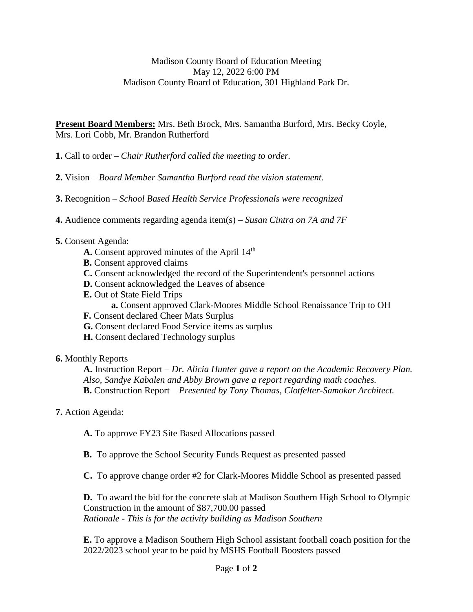## Madison County Board of Education Meeting May 12, 2022 6:00 PM Madison County Board of Education, 301 Highland Park Dr.

**Present Board Members:** Mrs. Beth Brock, Mrs. Samantha Burford, Mrs. Becky Coyle, Mrs. Lori Cobb, Mr. Brandon Rutherford

**1.** Call to order – *Chair Rutherford called the meeting to order.*

**2.** Vision – *Board Member Samantha Burford read the vision statement.*

**3.** Recognition – *School Based Health Service Professionals were recognized*

**4.** Audience comments regarding agenda item(s) – *Susan Cintra on 7A and 7F*

- **5.** Consent Agenda:
	- A. Consent approved minutes of the April 14<sup>th</sup>
	- **B.** Consent approved claims
	- **C.** Consent acknowledged the record of the Superintendent's personnel actions
	- **D.** Consent acknowledged the Leaves of absence
	- **E.** Out of State Field Trips
		- **a.** Consent approved Clark-Moores Middle School Renaissance Trip to OH
	- **F.** Consent declared Cheer Mats Surplus
	- **G.** Consent declared Food Service items as surplus
	- **H.** Consent declared Technology surplus

## **6.** Monthly Reports

**A.** Instruction Report – *Dr. Alicia Hunter gave a report on the Academic Recovery Plan. Also, Sandye Kabalen and Abby Brown gave a report regarding math coaches.* **B.** Construction Report – *Presented by Tony Thomas, Clotfelter-Samokar Architect.*

## **7.** Action Agenda:

**A.** To approve FY23 Site Based Allocations passed

**B.** To approve the School Security Funds Request as presented passed

**C.** To approve change order #2 for Clark-Moores Middle School as presented passed

**D.** To award the bid for the concrete slab at Madison Southern High School to Olympic Construction in the amount of \$87,700.00 passed *Rationale - This is for the activity building as Madison Southern*

**E.** To approve a Madison Southern High School assistant football coach position for the 2022/2023 school year to be paid by MSHS Football Boosters passed